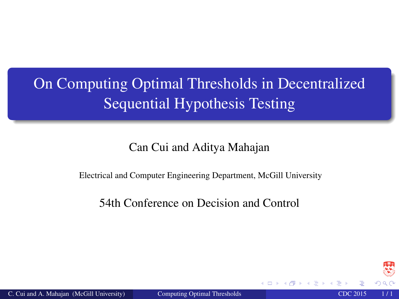# <span id="page-0-0"></span>On Computing Optimal Thresholds in Decentralized Sequential Hypothesis Testing

Can Cui and Aditya Mahajan

Electrical and Computer Engineering Department, McGill University

54th Conference on Decision and Control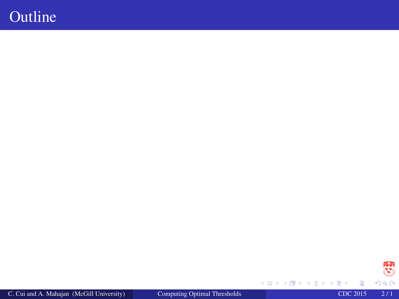### **Outline**

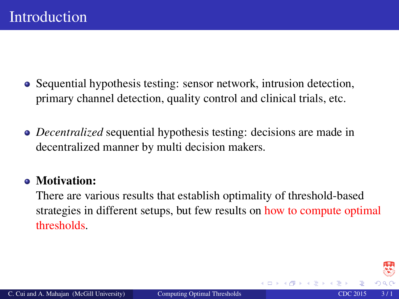- Sequential hypothesis testing: sensor network, intrusion detection, primary channel detection, quality control and clinical trials, etc.
- *Decentralized* sequential hypothesis testing: decisions are made in decentralized manner by multi decision makers.

#### • Motivation:

There are various results that establish optimality of threshold-based strategies in different setups, but few results on how to compute optimal thresholds.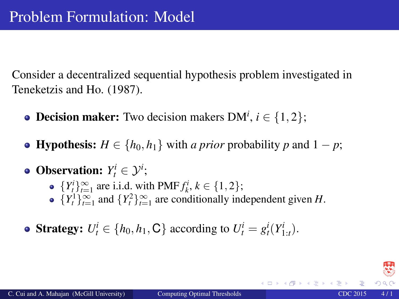Consider a decentralized sequential hypothesis problem investigated in Teneketzis and Ho. (1987).

- **Decision maker:** Two decision makers  $DM^{i}$ ,  $i \in \{1, 2\}$ ;
- $\bullet$  **Hypothesis:** *H* ∈ {*h*<sub>0</sub>, *h*<sub>1</sub>} with *a prior* probability *p* and 1 − *p*;
- **Observation:**  $Y_t^i \in \mathcal{Y}^i$ ;
	- ${Y_t^i}_{t=1}^{\infty}$  are i.i.d. with PMF  $f_k^i, k \in \{1, 2\}$ ;
	- ${Y_t^1}_{t=1}^{\infty}$  and  ${Y_t^2}_{t=1}^{\infty}$  are conditionally independent given *H*.
- **Strategy:**  $U_t^i \in \{h_0, h_1, \mathbb{C}\}$  according to  $U_t^i = g_t^i(Y_{1:t}^i)$ .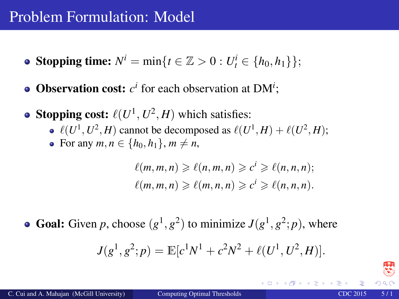### Problem Formulation: Model

- **Stopping time:**  $N^i = \min\{t \in \mathbb{Z} > 0 : U_t^i \in \{h_0, h_1\}\};$
- **Observation cost:**  $c^i$  for each observation at  $DM^i$ ;
- **Stopping cost:**  $\ell(U^1, U^2, H)$  which satisfies:
	- $\ell(U^1, U^2, H)$  cannot be decomposed as  $\ell(U^1, H) + \ell(U^2, H);$
	- For any  $m, n \in \{h_0, h_1\}, m \neq n$ ,

$$
\ell(m, m, n) \geqslant \ell(n, m, n) \geqslant c^i \geqslant \ell(n, n, n);
$$
  

$$
\ell(m, m, n) \geqslant \ell(m, n, n) \geqslant c^i \geqslant \ell(n, n, n).
$$

**Goal:** Given *p*, choose  $(g^1, g^2)$  to minimize  $J(g^1, g^2; p)$ , where

$$
J(g1, g2; p) = \mathbb{E}[c1N1 + c2N2 + \ell(U1, U2, H)].
$$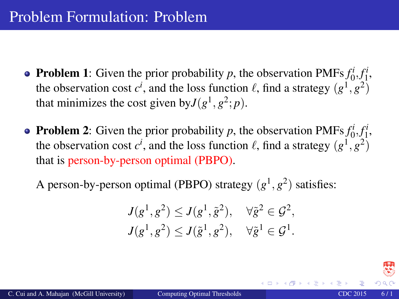- **Problem 1**: Given the prior probability *p*, the observation PMFs  $f_0^i, f_1^i$ , the observation cost  $c^i$ , and the loss function  $\ell$ , find a strategy  $(g^1, g^2)$ that minimizes the cost given by  $J(g^1, g^2; p)$ .
- **Problem 2:** Given the prior probability *p*, the observation PMFs  $f_0^i, f_1^i$ , the observation cost  $c^i$ , and the loss function  $\ell$ , find a strategy  $(g^1, g^2)$ that is person-by-person optimal (PBPO).

A person-by-person optimal (PBPO) strategy  $(g<sup>1</sup>, g<sup>2</sup>)$  satisfies:

$$
J(g1, g2) \leq J(g1, \tilde{g}2), \quad \forall \tilde{g}2 \in \mathcal{G}2,
$$
  

$$
J(g1, g2) \leq J(\tilde{g}1, g2), \quad \forall \tilde{g}1 \in \mathcal{G}1.
$$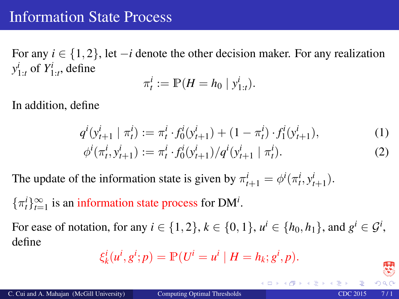For any  $i \in \{1, 2\}$ , let  $-i$  denote the other decision maker. For any realization  $y_{1:t}^i$  of  $Y_{1:t}^i$ , define

<span id="page-6-0"></span>
$$
\pi_t^i := \mathbb{P}(H = h_0 \mid y_{1:t}^i).
$$

In addition, define

$$
q^{i}(y_{t+1}^{i} \mid \pi_{t}^{i}) := \pi_{t}^{i} \cdot f_{0}^{i}(y_{t+1}^{i}) + (1 - \pi_{t}^{i}) \cdot f_{1}^{i}(y_{t+1}^{i}),
$$
  
\n
$$
\phi^{i}(\pi_{t}^{i}, y_{t+1}^{i}) := \pi_{t}^{i} \cdot f_{0}^{i}(y_{t+1}^{i}) / q^{i}(y_{t+1}^{i} \mid \pi_{t}^{i}).
$$
\n(1)

The update of the information state is given by  $\pi_{t+1}^i = \phi^i(\pi_t^i, y_{t+1}^i)$ .

 $\{\pi_t^i\}_{t=1}^\infty$  is an information state process for DM<sup>*i*</sup>.

For ease of notation, for any  $i \in \{1, 2\}$ ,  $k \in \{0, 1\}$ ,  $u^i \in \{h_0, h_1\}$ , and  $g^i \in \mathcal{G}^i$ , define

$$
\xi_k^i(u^i, g^i; p) = \mathbb{P}(U^i = u^i \mid H = h_k; g^i, p).
$$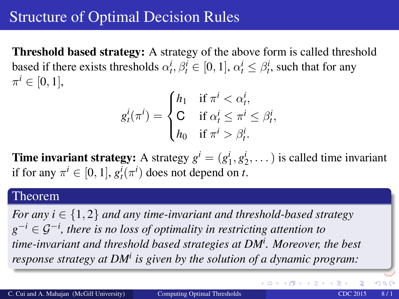### Structure of Optimal Decision Rules

Threshold based strategy: A strategy of the above form is called threshold based if there exists thresholds  $\alpha_t^i, \beta_t^i \in [0, 1]$ ,  $\alpha_t^i \leq \beta_t^i$ , such that for any  $\pi^i \in [0,1],$ 

$$
g_t^i(\pi^i) = \begin{cases} h_1 & \text{if } \pi^i < \alpha_t^i, \\ \mathsf{C} & \text{if } \alpha_t^i \leq \pi^i \leq \beta_t^i, \\ h_0 & \text{if } \pi^i > \beta_t^i. \end{cases}
$$

**Time invariant strategy:** A strategy  $g^i = (g_1^i, g_2^i, \dots)$  is called time invariant if for any  $\pi^i \in [0, 1]$ ,  $g_t^i(\pi^i)$  does not depend on *t*.

#### Theorem

*For any i* ∈ {1, 2} *and any time-invariant and threshold-based strategy g* <sup>−</sup>*<sup>i</sup>* ∈ G−*<sup>i</sup> , there is no loss of optimality in restricting attention to time-invariant and threshold based strategies at DM<sup>i</sup> . Moreover, the best response strategy at DM<sup>i</sup> is given by the solution of a dynamic program:*

 $QQ$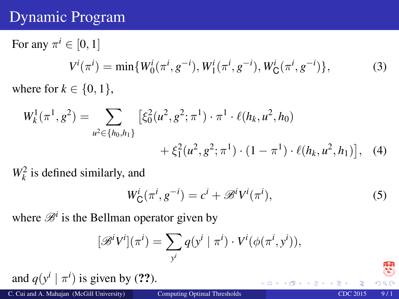## Dynamic Program

For any  $\pi^i \in [0, 1]$  $V^{i}(\pi^{i}) = \min\{W_{0}^{i}(\pi^{i}, g^{-i}), W_{1}^{i}(\pi^{i}, g^{-i}), W_{\mathsf{C}}^{i}(\pi^{i}, g^{-i})\},$  (3) where for  $k \in \{0, 1\}$ ,

$$
W_k^1(\pi^1, g^2) = \sum_{u^2 \in \{h_0, h_1\}} \left[ \xi_0^2(u^2, g^2; \pi^1) \cdot \pi^1 \cdot \ell(h_k, u^2, h_0) + \xi_1^2(u^2, g^2; \pi^1) \cdot (1 - \pi^1) \cdot \ell(h_k, u^2, h_1) \right], \quad (4)
$$

 $W_k^2$  is defined similarly, and

$$
W_{\mathsf{C}}^{i}(\pi^{i}, g^{-i}) = c^{i} + \mathcal{B}^{i}V^{i}(\pi^{i}),
$$
\n<sup>(5)</sup>

where  $\mathcal{B}^i$  is the Bellman operator given by

$$
[\mathscr{B}^i V^i](\pi^i) = \sum_{y^i} q(y^i \mid \pi^i) \cdot V^i(\phi(\pi^i, y^i)),
$$

and  $q(y^i | \pi^i)$  is given by ([??](#page-6-0)).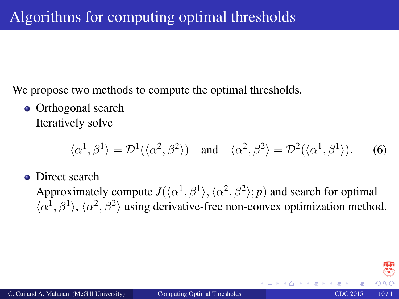We propose two methods to compute the optimal thresholds.

• Orthogonal search Iteratively solve

$$
\langle \alpha^1, \beta^1 \rangle = \mathcal{D}^1(\langle \alpha^2, \beta^2 \rangle) \quad \text{and} \quad \langle \alpha^2, \beta^2 \rangle = \mathcal{D}^2(\langle \alpha^1, \beta^1 \rangle). \tag{6}
$$

• Direct search

Approximately compute  $J(\langle \alpha^1, \beta^1 \rangle, \langle \alpha^2, \beta^2 \rangle; p)$  and search for optimal  $\langle \alpha^1, \beta^1 \rangle$ ,  $\langle \alpha^2, \beta^2 \rangle$  using derivative-free non-convex optimization method.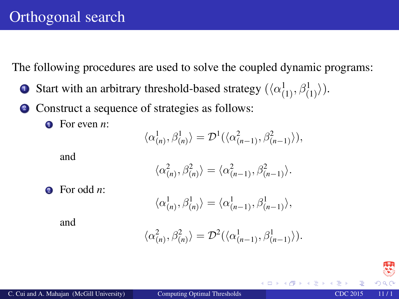The following procedures are used to solve the coupled dynamic programs:

- **1** Start with an arbitrary threshold-based strategy  $(\langle \alpha_{(1)}^1, \beta_{(1)}^1 \rangle)$ .
- <sup>2</sup> Construct a sequence of strategies as follows:
	- **1** For even *n*:

$$
\langle \alpha_{(n)}^1, \beta_{(n)}^1 \rangle = \mathcal{D}^1(\langle \alpha_{(n-1)}^2, \beta_{(n-1)}^2 \rangle),
$$

and

$$
\langle \alpha_{(n)}^2, \beta_{(n)}^2 \rangle = \langle \alpha_{(n-1)}^2, \beta_{(n-1)}^2 \rangle.
$$

<sup>2</sup> For odd *n*:

$$
\langle \alpha_{(n)}^1, \beta_{(n)}^1 \rangle = \langle \alpha_{(n-1)}^1, \beta_{(n-1)}^1 \rangle,
$$

and

$$
\langle \alpha_{(n)}^2, \beta_{(n)}^2 \rangle = \mathcal{D}^2(\langle \alpha_{(n-1)}^1, \beta_{(n-1)}^1 \rangle).
$$

 $\leftarrow$   $\Box$   $\rightarrow$   $\rightarrow$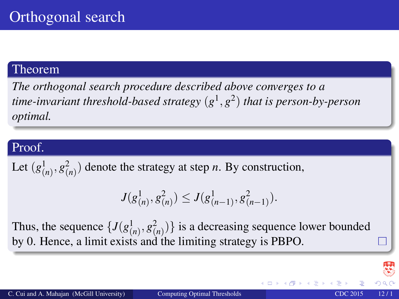#### Theorem

*The orthogonal search procedure described above converges to a time-invariant threshold-based strategy* (*g* 1 , *g* 2 ) *that is person-by-person optimal.*

#### Proof.

Let  $(g_{(n)}^1, g_{(n)}^2)$  denote the strategy at step *n*. By construction,

$$
J(g_{(n)}^1, g_{(n)}^2) \leq J(g_{(n-1)}^1, g_{(n-1)}^2).
$$

Thus, the sequence  $\{J(g_{(n)}^1, g_{(n)}^2)\}\$  is a decreasing sequence lower bounded by 0. Hence, a limit exists and the limiting strategy is PBPO.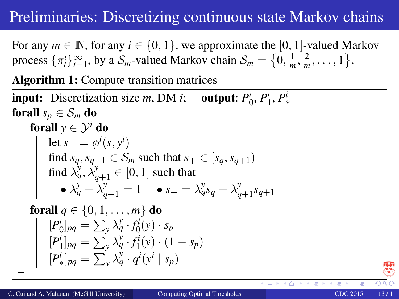## Preliminaries: Discretizing continuous state Markov chains

For any  $m \in \mathbb{N}$ , for any  $i \in \{0, 1\}$ , we approximate the [0, 1]-valued Markov process  $\{\pi_t^i\}_{t=1}^{\infty}$ , by a  $\mathcal{S}_m$ -valued Markov chain  $\mathcal{S}_m = \{0, \frac{1}{m}, \frac{2}{m}, \dots, 1\}$ .

Algorithm 1: Compute transition matrices

**input:** Discretization size *m*, DM *i*; output:  $P_0^i$ ,  $P_1^i$ ,  $P_*^i$ forall  $s_p \in S_m$  do forall  $y \in \mathcal{Y}^i$  do let  $s_+ = \phi^i(s, y^i)$ find  $s_q, s_{q+1} \in S_m$  such that  $s_+ \in [s_q, s_{q+1})$ find  $\lambda_q^y$ ,  $\lambda_{q+1}^y \in [0, 1]$  such that •  $\lambda_q^y + \lambda_{q+1}^y = 1$  •  $s_+ = \lambda_q^y s_q + \lambda_q^y$ *q*+1 *sq*+<sup>1</sup> forall  $q \in \{0, 1, \ldots, m\}$  do  $[P_0^i]_{pq} = \sum_{y} \lambda_q^y \cdot f_0^i(y) \cdot s_p$  $[P_1^i]_{pq} = \sum_{y}^{y} \lambda_q^y \cdot f_1^i(y) \cdot (1 - s_p)$  $[P^i_*]_{pq} = \sum_{y}^{y} \lambda_q^y \cdot q^i(y^i \mid s_p)$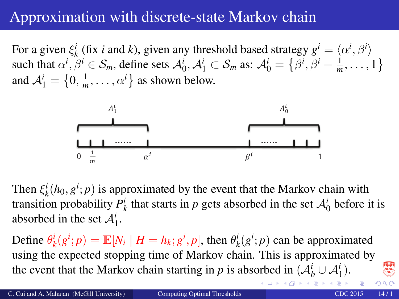## Approximation with discrete-state Markov chain

For a given  $\xi_k^i$  (fix *i* and *k*), given any threshold based strategy  $g^i = \langle \alpha^i, \beta^i \rangle$ such that  $\alpha^i, \beta^i \in S_m$ , define sets  $\mathcal{A}_0^i, \mathcal{A}_1^i \subset S_m$  as:  $\mathcal{A}_0^i = \{\beta^i, \beta^i + \frac{1}{m}, \dots, 1\}$ and  $A_1^i = \left\{0, \frac{1}{m}, \dots, \alpha^i\right\}$  as shown below.



Then  $\xi_k^i(h_0, g^i; p)$  is approximated by the event that the Markov chain with transition probability  $P^i_k$  that starts in *p* gets absorbed in the set  $\mathcal{A}^i_0$  before it is absorbed in the set  $A_1^i$ .

Define  $\theta_k^i(g^i; p) = \mathbb{E}[N_i \mid H = h_k; g^i, p]$ , then  $\theta_k^i(g^i; p)$  can be approximated using the expected stopping time of Markov chain. This is approximated by the event that the Markov chain starting in *p* is a[b](#page-0-0)sorbed in  $(\mathcal{A}_{b}^{i} \cup \mathcal{A}_{1}^{i})$  $(\mathcal{A}_{b}^{i} \cup \mathcal{A}_{1}^{i})$  $(\mathcal{A}_{b}^{i} \cup \mathcal{A}_{1}^{i})$ .

 $\mathfrak{B}$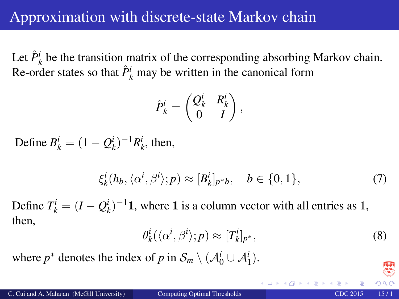Let  $\hat{P}_k^i$  be the transition matrix of the corresponding absorbing Markov chain. Re-order states so that  $\hat{P}^i_k$  may be written in the canonical form

$$
\hat{P}_k^i = \begin{pmatrix} Q_k^i & R_k^i \\ 0 & I \end{pmatrix},
$$

Define  $B_k^i = (1 - Q_k^i)^{-1} R_k^i$ , then,

$$
\xi_k^i(h_b, \langle \alpha^i, \beta^i \rangle; p) \approx [B_k^i]_{p^*b}, \quad b \in \{0, 1\},\tag{7}
$$

Define  $T_k^i = (I - Q_k^i)^{-1}$ **1**, where **1** is a column vector with all entries as 1, then,

$$
\theta_k^i(\langle \alpha^i, \beta^i \rangle; p) \approx [T_k^i]_{p^*},\tag{8}
$$

where  $p^*$  denotes the index of  $p$  in  $\mathcal{S}_m \setminus (\mathcal{A}_0^i \cup \mathcal{A}_1^i)$ .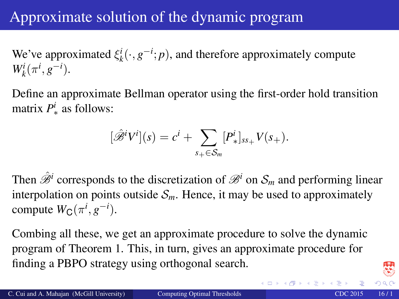## Approximate solution of the dynamic program

We've approximated  $\xi_k^i(\cdot, g^{-i}; p)$ , and therefore approximately compute  $W_k^i(\pi^i, g^{-i}).$ 

Define an approximate Bellman operator using the first-order hold transition matrix  $P^i_{\ast}$  as follows:

$$
[\hat{\mathscr{B}}^i V^i](s) = c^i + \sum_{s_+ \in \mathcal{S}_m} [P^i_*]_{ss_+} V(s_+).
$$

Then  $\hat{\mathscr{B}}^i$  corresponds to the discretization of  $\mathscr{B}^i$  on  $\mathcal{S}_m$  and performing linear interpolation on points outside  $S_m$ . Hence, it may be used to approximately compute  $W_C(\pi^i, g^{-i})$ .

Combing all these, we get an approximate procedure to solve the dynamic program of Theorem 1. This, in turn, gives an approximate procedure for finding a PBPO strategy using orthogonal search.

←ロト ← 伊 ト ← 差 ト ← 差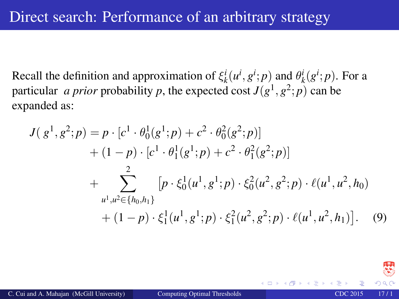Recall the definition and approximation of  $\xi_k^i(u^i, g^i; p)$  and  $\theta_k^i(g^i; p)$ . For a particular *a prior* probability *p*, the expected cost  $J(g^1, g^2; p)$  can be expanded as:

$$
J(g^{1}, g^{2}; p) = p \cdot [c^{1} \cdot \theta_{0}^{1}(g^{1}; p) + c^{2} \cdot \theta_{0}^{2}(g^{2}; p)] + (1 - p) \cdot [c^{1} \cdot \theta_{1}^{1}(g^{1}; p) + c^{2} \cdot \theta_{1}^{2}(g^{2}; p)] + \sum_{u^{1}, u^{2} \in \{h_{0}, h_{1}\}}^{2} [p \cdot \xi_{0}^{1}(u^{1}, g^{1}; p) \cdot \xi_{0}^{2}(u^{2}, g^{2}; p) \cdot \ell(u^{1}, u^{2}, h_{0}) + (1 - p) \cdot \xi_{1}^{1}(u^{1}, g^{1}; p) \cdot \xi_{1}^{2}(u^{2}, g^{2}; p) \cdot \ell(u^{1}, u^{2}, h_{1})]. \quad (9)
$$

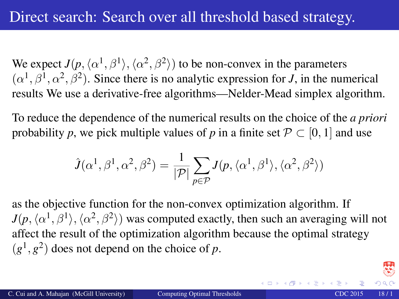We expect  $J(p, \langle \alpha^1, \beta^1 \rangle, \langle \alpha^2, \beta^2 \rangle)$  to be non-convex in the parameters  $(\alpha^1, \beta^1, \alpha^2, \beta^2)$ . Since there is no analytic expression for *J*, in the numerical results We use a derivative-free algorithms—Nelder-Mead simplex algorithm.

To reduce the dependence of the numerical results on the choice of the *a priori* probability *p*, we pick multiple values of *p* in a finite set  $\mathcal{P} \subset [0, 1]$  and use

$$
\hat{J}(\alpha^1, \beta^1, \alpha^2, \beta^2) = \frac{1}{|\mathcal{P}|} \sum_{p \in \mathcal{P}} J(p, \langle \alpha^1, \beta^1 \rangle, \langle \alpha^2, \beta^2 \rangle)
$$

as the objective function for the non-convex optimization algorithm. If  $J(p,\langle \alpha^1,\beta^1\rangle,\langle \alpha^2,\beta^2\rangle)$  was computed exactly, then such an averaging will not affect the result of the optimization algorithm because the optimal strategy  $(g<sup>1</sup>, g<sup>2</sup>)$  does not depend on the choice of *p*.

K ロ ト K 個 ト K 差 ト K 差 ト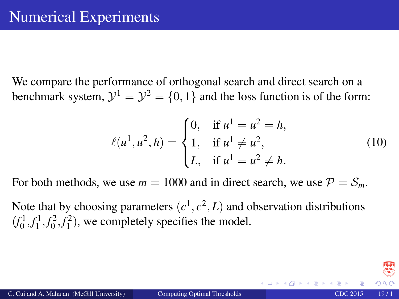We compare the performance of orthogonal search and direct search on a benchmark system,  $\mathcal{Y}^1 = \mathcal{Y}^2 = \{0, 1\}$  and the loss function is of the form:

$$
\ell(u^1, u^2, h) = \begin{cases} 0, & \text{if } u^1 = u^2 = h, \\ 1, & \text{if } u^1 \neq u^2, \\ L, & \text{if } u^1 = u^2 \neq h. \end{cases}
$$
(10)

For both methods, we use  $m = 1000$  and in direct search, we use  $P = S_m$ .

Note that by choosing parameters  $(c^1, c^2, L)$  and observation distributions  $(f_0^1, f_1^1, f_0^2, f_1^2)$ , we completely specifies the model.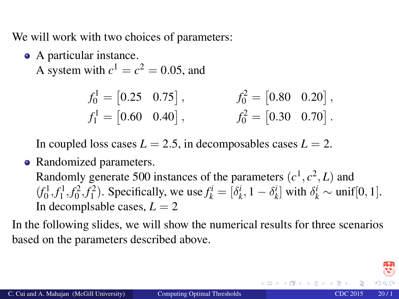We will work with two choices of parameters:

• A particular instance.

A system with  $c^1 = c^2 = 0.05$ , and

$$
f_0^1 = [0.25 \quad 0.75], \qquad f_0^2 = [0.80 \quad 0.20],
$$
  

$$
f_1^1 = [0.60 \quad 0.40], \qquad f_0^2 = [0.30 \quad 0.70].
$$

In coupled loss cases  $L = 2.5$ , in decomposables cases  $L = 2$ .

• Randomized parameters.

Randomly generate 500 instances of the parameters  $(c<sup>1</sup>, c<sup>2</sup>, L)$  and  $(f_0^1, f_1^1, f_0^2, f_1^2)$ . Specifically, we use  $f_k^i = [\delta_k^i, 1 - \delta_k^i]$  with  $\delta_k^i \sim \text{unif}[0, 1]$ . In decomplsable cases,  $L = 2$ 

In the following slides, we will show the numerical results for three scenarios based on the parameters described above.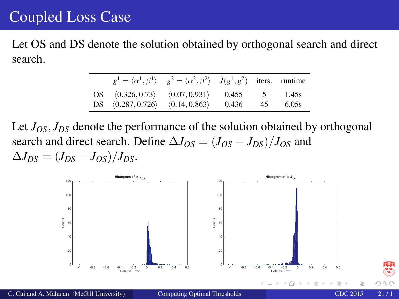### Coupled Loss Case

Let OS and DS denote the solution obtained by orthogonal search and direct search.

|                                     | $g^1 = \langle \alpha^1, \beta^1 \rangle$ $g^2 = \langle \alpha^2, \beta^2 \rangle$ $\hat{J}(g^1, g^2)$ iters. runtime |       |                |       |
|-------------------------------------|------------------------------------------------------------------------------------------------------------------------|-------|----------------|-------|
| OS $(0.326, 0.73)$ $(0.07, 0.931)$  |                                                                                                                        | 0.455 | 5 <sup>5</sup> | 1.45s |
| DS $(0.287, 0.726)$ $(0.14, 0.863)$ |                                                                                                                        | 0.436 | 45             | 6.05s |

Let  $J_{OS}$ ,  $J_{DS}$  denote the performance of the solution obtained by orthogonal search and direct search. Define  $\Delta J_{OS} = (J_{OS} - J_{DS})/J_{OS}$  and  $\Delta J_{DS} = (J_{DS} - J_{OS})/J_{DS}$ .

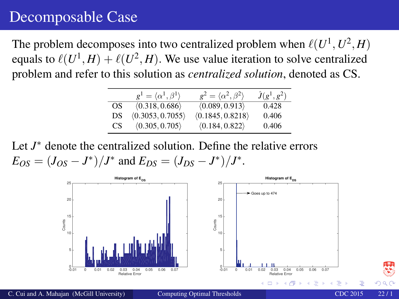### Decomposable Case

The problem decomposes into two centralized problem when  $\ell(U^1, U^2, H)$ equals to  $\ell(U^1, H) + \ell(U^2, H)$ . We use value iteration to solve centralized problem and refer to this solution as *centralized solution*, denoted as CS.

|     | $g^1 = \langle \alpha^1, \beta^1 \rangle$ | $g^2 = \langle \alpha^2, \beta^2 \rangle$ | $\hat{J}(g^1,g^2)$ |
|-----|-------------------------------------------|-------------------------------------------|--------------------|
| OS. | $\langle 0.318, 0.686 \rangle$            | $\langle 0.089, 0.913 \rangle$            | 0.428              |
| DS  | (0.3053, 0.7055)                          | (0.1845, 0.8218)                          | 0.406              |
| CS. | $\langle 0.305, 0.705 \rangle$            | $\langle 0.184, 0.822 \rangle$            | 0.406              |

Let *J* <sup>∗</sup> denote the centralized solution. Define the relative errors  $E_{OS} = (J_{OS} - J^*)/J^*$  and  $E_{DS} = (J_{DS} - J^*)/J^*$ .

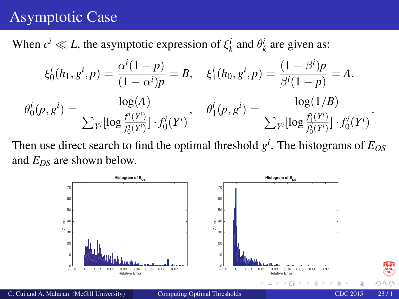## Asymptotic Case

When  $c^i \ll L$ , the asymptotic expression of  $\xi_k^i$  and  $\theta_k^i$  are given as:

$$
\xi_0^i(h_1, g^i, p) = \frac{\alpha^i (1-p)}{(1-\alpha^i)p} = B, \quad \xi_1^i(h_0, g^i, p) = \frac{(1-\beta^i)p}{\beta^i (1-p)} = A.
$$

$$
\theta_0^i(p, g^i) = \frac{\log(A)}{\sum_{Y^i} [\log \frac{f_1^i(Y^i)}{f_0^i(Y^i)}] \cdot f_0^i(Y^i)}, \quad \theta_1^i(p, g^i) = \frac{\log(1/B)}{\sum_{Y^i} [\log \frac{f_1^i(Y^i)}{f_0^i(Y^i)}] \cdot f_0^i(Y^i)}.
$$

Then use direct search to find the optimal threshold *g i* . The histograms of *EOS* and *EDS* are shown below.



C. Cui and A. Mahajan (McGill University) [Computing Optimal Thresholds](#page-0-0) CDC 2015 23 / 1